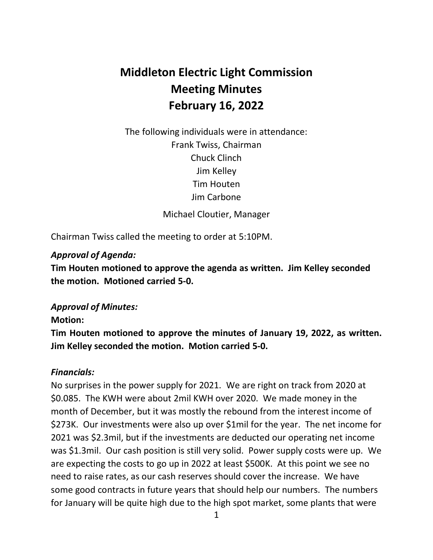# **Middleton Electric Light Commission Meeting Minutes February 16, 2022**

 The following individuals were in attendance: Frank Twiss, Chairman Chuck Clinch Jim Kelley Tim Houten Jim Carbone

Michael Cloutier, Manager

Chairman Twiss called the meeting to order at 5:10PM.

## *Approval of Agenda:*

 **Tim Houten motioned to approve the agenda as written. Jim Kelley seconded the motion. Motioned carried 5-0.** 

## *Approval of Minutes:*

#### **Motion:**

 **Tim Houten motioned to approve the minutes of January 19, 2022, as written. Jim Kelley seconded the motion. Motion carried 5-0.** 

### *Financials:*

 No surprises in the power supply for 2021. We are right on track from 2020 at \$0.085. The KWH were about 2mil KWH over 2020. We made money in the month of December, but it was mostly the rebound from the interest income of \$273K. Our investments were also up over \$1mil for the year. The net income for 2021 was \$2.3mil, but if the investments are deducted our operating net income was \$1.3mil. Our cash position is still very solid. Power supply costs were up. We are expecting the costs to go up in 2022 at least \$500K. At this point we see no need to raise rates, as our cash reserves should cover the increase. We have some good contracts in future years that should help our numbers. The numbers for January will be quite high due to the high spot market, some plants that were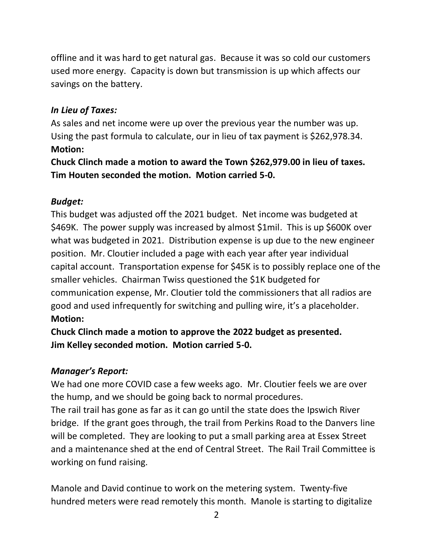offline and it was hard to get natural gas. Because it was so cold our customers used more energy. Capacity is down but transmission is up which affects our savings on the battery.

## *In Lieu of Taxes:*

 As sales and net income were up over the previous year the number was up. Using the past formula to calculate, our in lieu of tax payment is \$[262,978.34](https://262,978.34). **Motion:** 

 **Chuck Clinch made a motion to award the Town \$[262,979.00](https://262,979.00) in lieu of taxes. Tim Houten seconded the motion. Motion carried 5-0.** 

### *Budget:*

 This budget was adjusted off the 2021 budget. Net income was budgeted at \$469K. The power supply was increased by almost \$1mil. This is up \$600K over what was budgeted in 2021. Distribution expense is up due to the new engineer position. Mr. Cloutier included a page with each year after year individual capital account. Transportation expense for \$45K is to possibly replace one of the smaller vehicles. Chairman Twiss questioned the \$1K budgeted for communication expense, Mr. Cloutier told the commissioners that all radios are good and used infrequently for switching and pulling wire, it's a placeholder. **Motion:** 

 **Chuck Clinch made a motion to approve the 2022 budget as presented. Jim Kelley seconded motion. Motion carried 5-0.** 

### *Manager's Report:*

 We had one more COVID case a few weeks ago. Mr. Cloutier feels we are over the hump, and we should be going back to normal procedures.

 The rail trail has gone as far as it can go until the state does the Ipswich River bridge. If the grant goes through, the trail from Perkins Road to the Danvers line will be completed. They are looking to put a small parking area at Essex Street and a maintenance shed at the end of Central Street. The Rail Trail Committee is working on fund raising.

 Manole and David continue to work on the metering system. Twenty-five hundred meters were read remotely this month. Manole is starting to digitalize